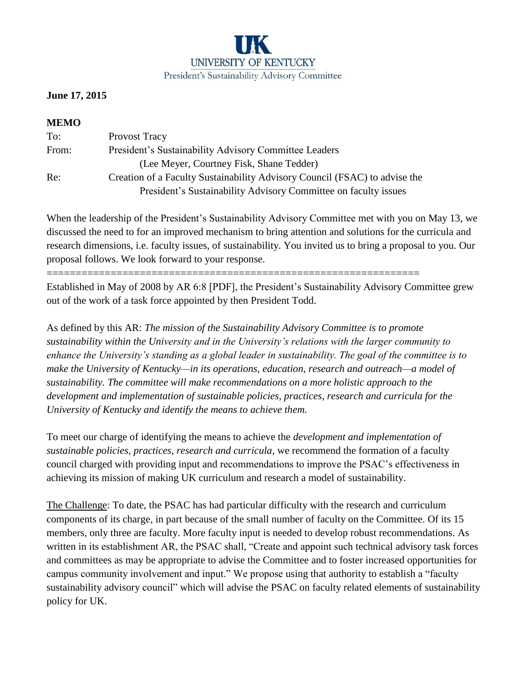

## **June 17, 2015**

## **MEMO**

| To:   | <b>Provost Tracy</b>                                                       |
|-------|----------------------------------------------------------------------------|
| From: | President's Sustainability Advisory Committee Leaders                      |
|       | (Lee Meyer, Courtney Fisk, Shane Tedder)                                   |
| Re:   | Creation of a Faculty Sustainability Advisory Council (FSAC) to advise the |
|       | President's Sustainability Advisory Committee on faculty issues            |

When the leadership of the President's Sustainability Advisory Committee met with you on May 13, we discussed the need to for an improved mechanism to bring attention and solutions for the curricula and research dimensions, i.e. faculty issues, of sustainability. You invited us to bring a proposal to you. Our proposal follows. We look forward to your response.

================================================================

Established in May of 2008 by AR 6:8 [PDF], the President's Sustainability Advisory Committee grew out of the work of a task force appointed by then President Todd.

As defined by this AR: *The mission of the Sustainability Advisory Committee is to promote sustainability within the University and in the University's relations with the larger community to enhance the University's standing as a global leader in sustainability. The goal of the committee is to make the University of Kentucky—in its operations, education, research and outreach—a model of sustainability. The committee will make recommendations on a more holistic approach to the development and implementation of sustainable policies, practices, research and curricula for the University of Kentucky and identify the means to achieve them.*

To meet our charge of identifying the means to achieve the *development and implementation of sustainable policies, practices, research and curricula,* we recommend the formation of a faculty council charged with providing input and recommendations to improve the PSAC's effectiveness in achieving its mission of making UK curriculum and research a model of sustainability.

The Challenge: To date, the PSAC has had particular difficulty with the research and curriculum components of its charge*,* in part because of the small number of faculty on the Committee. Of its 15 members, only three are faculty. More faculty input is needed to develop robust recommendations. As written in its establishment AR, the PSAC shall, "Create and appoint such technical advisory task forces and committees as may be appropriate to advise the Committee and to foster increased opportunities for campus community involvement and input." We propose using that authority to establish a "faculty sustainability advisory council" which will advise the PSAC on faculty related elements of sustainability policy for UK.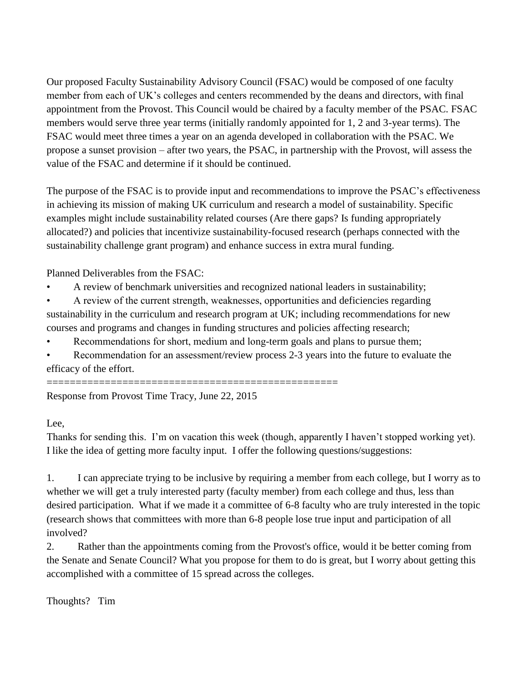Our proposed Faculty Sustainability Advisory Council (FSAC) would be composed of one faculty member from each of UK's colleges and centers recommended by the deans and directors, with final appointment from the Provost. This Council would be chaired by a faculty member of the PSAC. FSAC members would serve three year terms (initially randomly appointed for 1, 2 and 3-year terms). The FSAC would meet three times a year on an agenda developed in collaboration with the PSAC. We propose a sunset provision – after two years, the PSAC, in partnership with the Provost, will assess the value of the FSAC and determine if it should be continued.

The purpose of the FSAC is to provide input and recommendations to improve the PSAC's effectiveness in achieving its mission of making UK curriculum and research a model of sustainability. Specific examples might include sustainability related courses (Are there gaps? Is funding appropriately allocated?) and policies that incentivize sustainability-focused research (perhaps connected with the sustainability challenge grant program) and enhance success in extra mural funding.

Planned Deliverables from the FSAC:

- A review of benchmark universities and recognized national leaders in sustainability;
- A review of the current strength, weaknesses, opportunities and deficiencies regarding sustainability in the curriculum and research program at UK; including recommendations for new courses and programs and changes in funding structures and policies affecting research;
- Recommendations for short, medium and long-term goals and plans to pursue them;
- Recommendation for an assessment/review process 2-3 years into the future to evaluate the efficacy of the effort.

================================================== Response from Provost Time Tracy, June 22, 2015

Lee,

Thanks for sending this. I'm on vacation this week (though, apparently I haven't stopped working yet). I like the idea of getting more faculty input. I offer the following questions/suggestions:

1. I can appreciate trying to be inclusive by requiring a member from each college, but I worry as to whether we will get a truly interested party (faculty member) from each college and thus, less than desired participation. What if we made it a committee of 6-8 faculty who are truly interested in the topic (research shows that committees with more than 6-8 people lose true input and participation of all involved?

2. Rather than the appointments coming from the Provost's office, would it be better coming from the Senate and Senate Council? What you propose for them to do is great, but I worry about getting this accomplished with a committee of 15 spread across the colleges.

Thoughts? Tim